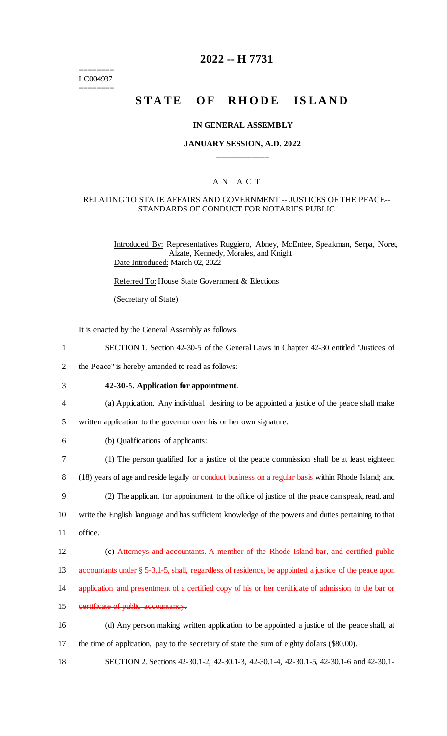======== LC004937 ========

# **2022 -- H 7731**

# **STATE OF RHODE ISLAND**

### **IN GENERAL ASSEMBLY**

## **JANUARY SESSION, A.D. 2022 \_\_\_\_\_\_\_\_\_\_\_\_**

## A N A C T

## RELATING TO STATE AFFAIRS AND GOVERNMENT -- JUSTICES OF THE PEACE-- STANDARDS OF CONDUCT FOR NOTARIES PUBLIC

Introduced By: Representatives Ruggiero, Abney, McEntee, Speakman, Serpa, Noret, Alzate, Kennedy, Morales, and Knight Date Introduced: March 02, 2022

Referred To: House State Government & Elections

(Secretary of State)

It is enacted by the General Assembly as follows:

- 1 SECTION 1. Section 42-30-5 of the General Laws in Chapter 42-30 entitled "Justices of
- 2 the Peace" is hereby amended to read as follows:

- 3 **42-30-5. Application for appointment.**
- 4 (a) Application. Any individual desiring to be appointed a justice of the peace shall make
- 5 written application to the governor over his or her own signature.
- 6 (b) Qualifications of applicants:
- 7 (1) The person qualified for a justice of the peace commission shall be at least eighteen

8 (18) years of age and reside legally or conduct business on a regular basis within Rhode Island; and

9 (2) The applicant for appointment to the office of justice of the peace can speak, read, and 10 write the English language and has sufficient knowledge of the powers and duties pertaining to that

11 office.

12 (c) Attorneys and accountants. A member of the Rhode Island bar, and certified public

13 accountants under § 5-3.1-5, shall, regardless of residence, be appointed a justice of the peace upon

- 14 application and presentment of a certified copy of his or her certificate of admission to the bar or
- 15 certificate of public accountancy.
- 16 (d) Any person making written application to be appointed a justice of the peace shall, at 17 the time of application, pay to the secretary of state the sum of eighty dollars (\$80.00).
- 18 SECTION 2. Sections 42-30.1-2, 42-30.1-3, 42-30.1-4, 42-30.1-5, 42-30.1-6 and 42-30.1-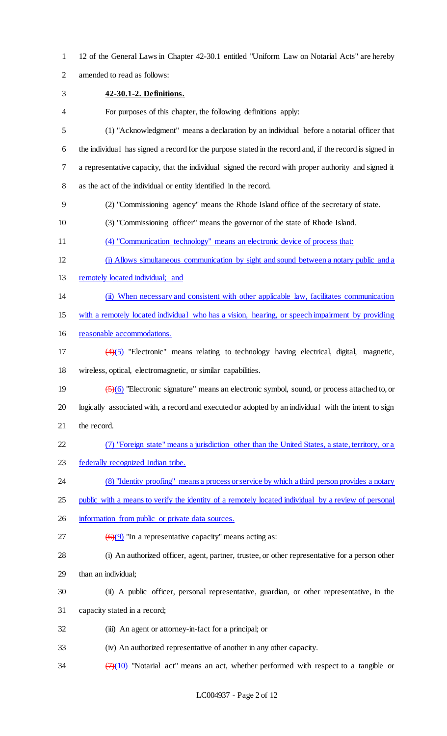- 12 of the General Laws in Chapter 42-30.1 entitled "Uniform Law on Notarial Acts" are hereby
- amended to read as follows:
- **42-30.1-2. Definitions.**
- For purposes of this chapter, the following definitions apply:
- (1) "Acknowledgment" means a declaration by an individual before a notarial officer that the individual has signed a record for the purpose stated in the record and, if the record is signed in a representative capacity, that the individual signed the record with proper authority and signed it as the act of the individual or entity identified in the record.
- (2) "Commissioning agency" means the Rhode Island office of the secretary of state.
- (3) "Commissioning officer" means the governor of the state of Rhode Island.
- (4) "Communication technology" means an electronic device of process that:
- (i) Allows simultaneous communication by sight and sound between a notary public and a
- 13 remotely located individual; and
- (ii) When necessary and consistent with other applicable law, facilitates communication
- with a remotely located individual who has a vision, hearing, or speech impairment by providing
- reasonable accommodations.
- (4)(5) "Electronic" means relating to technology having electrical, digital, magnetic, wireless, optical, electromagnetic, or similar capabilities.
- (5)(6) "Electronic signature" means an electronic symbol, sound, or process attached to, or logically associated with, a record and executed or adopted by an individual with the intent to sign the record.
- (7) "Foreign state" means a jurisdiction other than the United States, a state, territory, or a
- federally recognized Indian tribe.
- (8) "Identity proofing" means a process or service by which a third person provides a notary
- public with a means to verify the identity of a remotely located individual by a review of personal
- information from public or private data sources.
- 27  $\left(\frac{6}{9}\right)$  "In a representative capacity" means acting as:
- (i) An authorized officer, agent, partner, trustee, or other representative for a person other
- than an individual;
- (ii) A public officer, personal representative, guardian, or other representative, in the
- capacity stated in a record;
- (iii) An agent or attorney-in-fact for a principal; or
- (iv) An authorized representative of another in any other capacity.
- $\frac{(7)(10)}{24}$  "Notarial act" means an act, whether performed with respect to a tangible or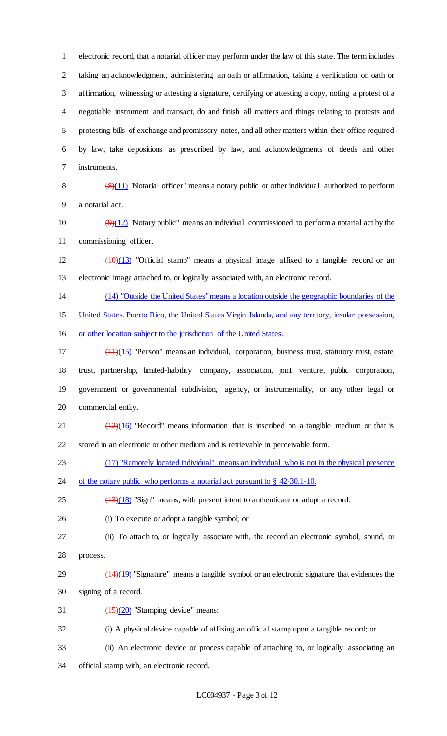electronic record, that a notarial officer may perform under the law of this state. The term includes taking an acknowledgment, administering an oath or affirmation, taking a verification on oath or affirmation, witnessing or attesting a signature, certifying or attesting a copy, noting a protest of a negotiable instrument and transact, do and finish all matters and things relating to protests and protesting bills of exchange and promissory notes, and all other matters within their office required by law, take depositions as prescribed by law, and acknowledgments of deeds and other instruments.

8  $\left(\frac{(8)(11)}{8}\right)$  "Notarial officer" means a notary public or other individual authorized to perform a notarial act.

10  $(9)(12)$  "Notary public" means an individual commissioned to perform a notarial act by the commissioning officer.

 $12 \left(10\right)(13)$  "Official stamp" means a physical image affixed to a tangible record or an electronic image attached to, or logically associated with, an electronic record.

(14) "Outside the United States" means a location outside the geographic boundaries of the

United States, Puerto Rico, the United States Virgin Islands, and any territory, insular possession,

or other location subject to the jurisdiction of the United States.

 (11)(15) "Person" means an individual, corporation, business trust, statutory trust, estate, trust, partnership, limited-liability company, association, joint venture, public corporation, government or governmental subdivision, agency, or instrumentality, or any other legal or commercial entity.

21  $\left(\frac{(12)(16)}{2}\right)$  "Record" means information that is inscribed on a tangible medium or that is stored in an electronic or other medium and is retrievable in perceivable form.

(17) "Remotely located individual" means an individual who is not in the physical presence

24 of the notary public who performs a notarial act pursuant to § 42-30.1-10.

 $\left(\frac{13}{18}\right)$  "Sign" means, with present intent to authenticate or adopt a record:

- (i) To execute or adopt a tangible symbol; or
- (ii) To attach to, or logically associate with, the record an electronic symbol, sound, or process.
- $(14)(19)$  "Signature" means a tangible symbol or an electronic signature that evidences the signing of a record.
- 31  $\left(\frac{(15)}{(20)}\right)$  "Stamping device" means:

(i) A physical device capable of affixing an official stamp upon a tangible record; or

- (ii) An electronic device or process capable of attaching to, or logically associating an
- official stamp with, an electronic record.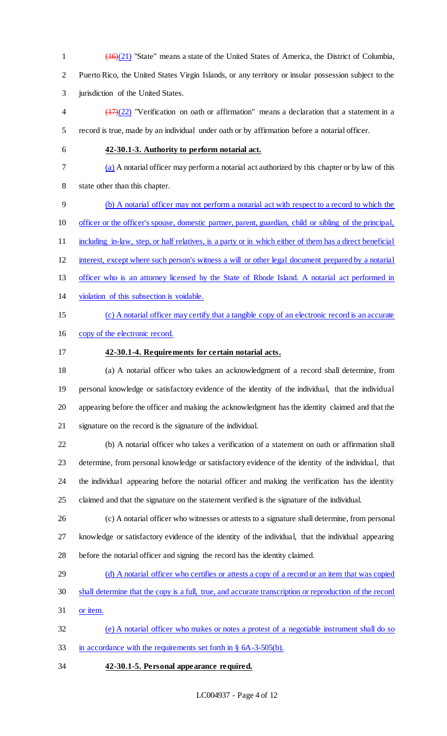(16)(21) "State" means a state of the United States of America, the District of Columbia, Puerto Rico, the United States Virgin Islands, or any territory or insular possession subject to the jurisdiction of the United States.

 $\frac{(17)(22)}{2}$  "Verification on oath or affirmation" means a declaration that a statement in a record is true, made by an individual under oath or by affirmation before a notarial officer.

## **42-30.1-3. Authority to perform notarial act.**

(a) A notarial officer may perform a notarial act authorized by this chapter or by law of this

state other than this chapter.

(b) A notarial officer may not perform a notarial act with respect to a record to which the

officer or the officer's spouse, domestic partner, parent, guardian, child or sibling of the principal,

11 including in-law, step, or half relatives, is a party or in which either of them has a direct beneficial

interest, except where such person's witness a will or other legal document prepared by a notarial

- officer who is an attorney licensed by the State of Rhode Island. A notarial act performed in
- violation of this subsection is voidable.
- 

# (c) A notarial officer may certify that a tangible copy of an electronic record is an accurate

copy of the electronic record.

# **42-30.1-4. Requirements for certain notarial acts.**

 (a) A notarial officer who takes an acknowledgment of a record shall determine, from personal knowledge or satisfactory evidence of the identity of the individual, that the individual appearing before the officer and making the acknowledgment has the identity claimed and that the signature on the record is the signature of the individual.

 (b) A notarial officer who takes a verification of a statement on oath or affirmation shall determine, from personal knowledge or satisfactory evidence of the identity of the individual, that the individual appearing before the notarial officer and making the verification has the identity claimed and that the signature on the statement verified is the signature of the individual.

- (c) A notarial officer who witnesses or attests to a signature shall determine, from personal knowledge or satisfactory evidence of the identity of the individual, that the individual appearing before the notarial officer and signing the record has the identity claimed.
- (d) A notarial officer who certifies or attests a copy of a record or an item that was copied
- shall determine that the copy is a full, true, and accurate transcription or reproduction of the record
- or item.

 (e) A notarial officer who makes or notes a protest of a negotiable instrument shall do so in accordance with the requirements set forth in § 6A-3-505(b).

**42-30.1-5. Personal appearance required.**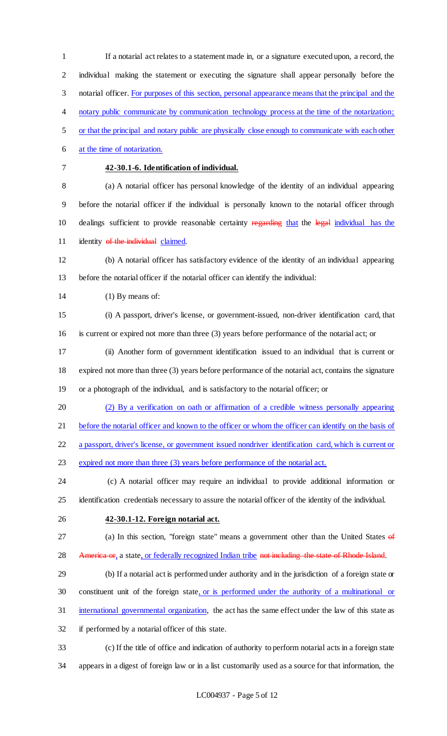If a notarial act relates to a statement made in, or a signature executed upon, a record, the individual making the statement or executing the signature shall appear personally before the 3 notarial officer. For purposes of this section, personal appearance means that the principal and the notary public communicate by communication technology process at the time of the notarization; or that the principal and notary public are physically close enough to communicate with each other at the time of notarization. **42-30.1-6. Identification of individual.** (a) A notarial officer has personal knowledge of the identity of an individual appearing before the notarial officer if the individual is personally known to the notarial officer through 10 dealings sufficient to provide reasonable certainty regarding that the legal individual has the 11 identity of the individual claimed. (b) A notarial officer has satisfactory evidence of the identity of an individual appearing before the notarial officer if the notarial officer can identify the individual: 14 (1) By means of: (i) A passport, driver's license, or government-issued, non-driver identification card, that is current or expired not more than three (3) years before performance of the notarial act; or (ii) Another form of government identification issued to an individual that is current or expired not more than three (3) years before performance of the notarial act, contains the signature or a photograph of the individual, and is satisfactory to the notarial officer; or (2) By a verification on oath or affirmation of a credible witness personally appearing 21 before the notarial officer and known to the officer or whom the officer can identify on the basis of a passport, driver's license, or government issued nondriver identification card, which is current or 23 expired not more than three (3) years before performance of the notarial act. (c) A notarial officer may require an individual to provide additional information or identification credentials necessary to assure the notarial officer of the identity of the individual. **42-30.1-12. Foreign notarial act.** 27 (a) In this section, "foreign state" means a government other than the United States of 28 America or, a state, or federally recognized Indian tribe not including the state of Rhode Island. (b) If a notarial act is performed under authority and in the jurisdiction of a foreign state or constituent unit of the foreign state, or is performed under the authority of a multinational or international governmental organization, the act has the same effect under the law of this state as if performed by a notarial officer of this state. (c) If the title of office and indication of authority to perform notarial acts in a foreign state

appears in a digest of foreign law or in a list customarily used as a source for that information, the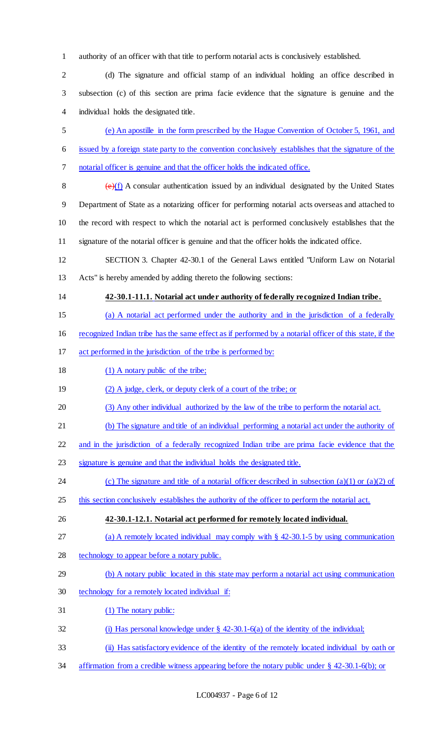authority of an officer with that title to perform notarial acts is conclusively established.

 (d) The signature and official stamp of an individual holding an office described in subsection (c) of this section are prima facie evidence that the signature is genuine and the individual holds the designated title.

 (e) An apostille in the form prescribed by the Hague Convention of October 5, 1961, and issued by a foreign state party to the convention conclusively establishes that the signature of the notarial officer is genuine and that the officer holds the indicated office.

 $(e)(f)$  A consular authentication issued by an individual designated by the United States Department of State as a notarizing officer for performing notarial acts overseas and attached to the record with respect to which the notarial act is performed conclusively establishes that the signature of the notarial officer is genuine and that the officer holds the indicated office.

 SECTION 3. Chapter 42-30.1 of the General Laws entitled "Uniform Law on Notarial Acts" is hereby amended by adding thereto the following sections:

**42-30.1-11.1. Notarial act under authority of federally recognized Indian tribe.**

(a) A notarial act performed under the authority and in the jurisdiction of a federally

recognized Indian tribe has the same effect as if performed by a notarial officer of this state, if the

act performed in the jurisdiction of the tribe is performed by:

18 (1) A notary public of the tribe;

19 (2) A judge, clerk, or deputy clerk of a court of the tribe; or

- (3) Any other individual authorized by the law of the tribe to perform the notarial act.
- (b) The signature and title of an individual performing a notarial act under the authority of

and in the jurisdiction of a federally recognized Indian tribe are prima facie evidence that the

signature is genuine and that the individual holds the designated title.

24 (c) The signature and title of a notarial officer described in subsection (a)(1) or (a)(2) of

25 this section conclusively establishes the authority of the officer to perform the notarial act.

**42-30.1-12.1. Notarial act performed for remotely located individual.**

(a) A remotely located individual may comply with § 42-30.1-5 by using communication

- 28 technology to appear before a notary public.
- (b) A notary public located in this state may perform a notarial act using communication
- technology for a remotely located individual if:
- (1) The notary public:
- (i) Has personal knowledge under § 42-30.1-6(a) of the identity of the individual;
- (ii) Has satisfactory evidence of the identity of the remotely located individual by oath or
- affirmation from a credible witness appearing before the notary public under § 42-30.1-6(b); or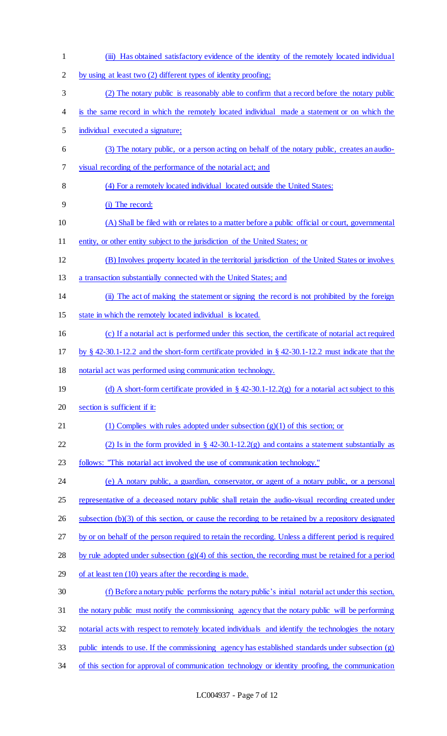(iii) Has obtained satisfactory evidence of the identity of the remotely located individual by using at least two (2) different types of identity proofing; (2) The notary public is reasonably able to confirm that a record before the notary public is the same record in which the remotely located individual made a statement or on which the individual executed a signature; (3) The notary public, or a person acting on behalf of the notary public, creates an audio- visual recording of the performance of the notarial act; and (4) For a remotely located individual located outside the United States: (i) The record: (A) Shall be filed with or relates to a matter before a public official or court, governmental 11 entity, or other entity subject to the jurisdiction of the United States; or (B) Involves property located in the territorial jurisdiction of the United States or involves a transaction substantially connected with the United States; and (ii) The act of making the statement or signing the record is not prohibited by the foreign state in which the remotely located individual is located. (c) If a notarial act is performed under this section, the certificate of notarial act required by § 42-30.1-12.2 and the short-form certificate provided in § 42-30.1-12.2 must indicate that the notarial act was performed using communication technology. 19 (d) A short-form certificate provided in § 42-30.1-12.2(g) for a notarial act subject to this section is sufficient if it: 21 (1) Complies with rules adopted under subsection (g)(1) of this section; or 22 (2) Is in the form provided in  $\S$  42-30.1-12.2(g) and contains a statement substantially as follows: "This notarial act involved the use of communication technology." (e) A notary public, a guardian, conservator, or agent of a notary public, or a personal representative of a deceased notary public shall retain the audio-visual recording created under subsection (b)(3) of this section, or cause the recording to be retained by a repository designated by or on behalf of the person required to retain the recording. Unless a different period is required by rule adopted under subsection (g)(4) of this section, the recording must be retained for a period of at least ten (10) years after the recording is made. (f) Before a notary public performs the notary public's initial notarial act under this section, 31 the notary public must notify the commissioning agency that the notary public will be performing notarial acts with respect to remotely located individuals and identify the technologies the notary public intends to use. If the commissioning agency has established standards under subsection (g) of this section for approval of communication technology or identity proofing, the communication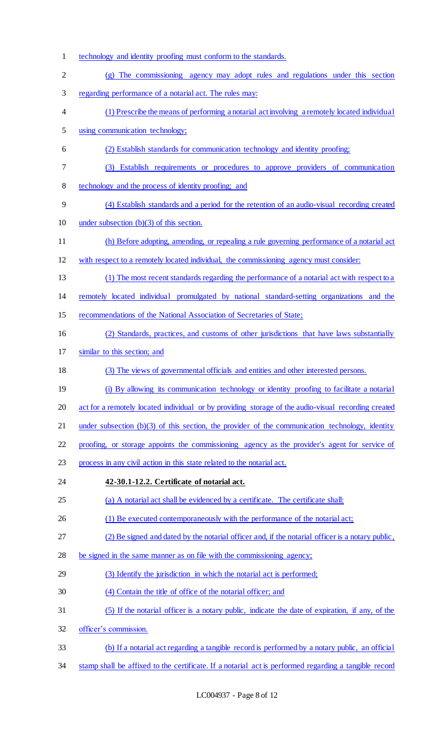technology and identity proofing must conform to the standards. (g) The commissioning agency may adopt rules and regulations under this section regarding performance of a notarial act. The rules may: (1) Prescribe the means of performing a notarial act involving a remotely located individual using communication technology; (2) Establish standards for communication technology and identity proofing; (3) Establish requirements or procedures to approve providers of communication technology and the process of identity proofing; and (4) Establish standards and a period for the retention of an audio-visual recording created under subsection (b)(3) of this section. (h) Before adopting, amending, or repealing a rule governing performance of a notarial act with respect to a remotely located individual, the commissioning agency must consider: (1) The most recent standards regarding the performance of a notarial act with respect to a remotely located individual promulgated by national standard-setting organizations and the recommendations of the National Association of Secretaries of State; (2) Standards, practices, and customs of other jurisdictions that have laws substantially similar to this section; and (3) The views of governmental officials and entities and other interested persons. (i) By allowing its communication technology or identity proofing to facilitate a notarial act for a remotely located individual or by providing storage of the audio-visual recording created 21 under subsection (b)(3) of this section, the provider of the communication technology, identity proofing, or storage appoints the commissioning agency as the provider's agent for service of process in any civil action in this state related to the notarial act. **42-30.1-12.2. Certificate of notarial act.** (a) A notarial act shall be evidenced by a certificate. The certificate shall: 26 (1) Be executed contemporaneously with the performance of the notarial act; (2) Be signed and dated by the notarial officer and, if the notarial officer is a notary public, be signed in the same manner as on file with the commissioning agency; (3) Identify the jurisdiction in which the notarial act is performed; (4) Contain the title of office of the notarial officer; and (5) If the notarial officer is a notary public, indicate the date of expiration, if any, of the officer's commission. (b) If a notarial act regarding a tangible record is performed by a notary public, an official stamp shall be affixed to the certificate. If a notarial act is performed regarding a tangible record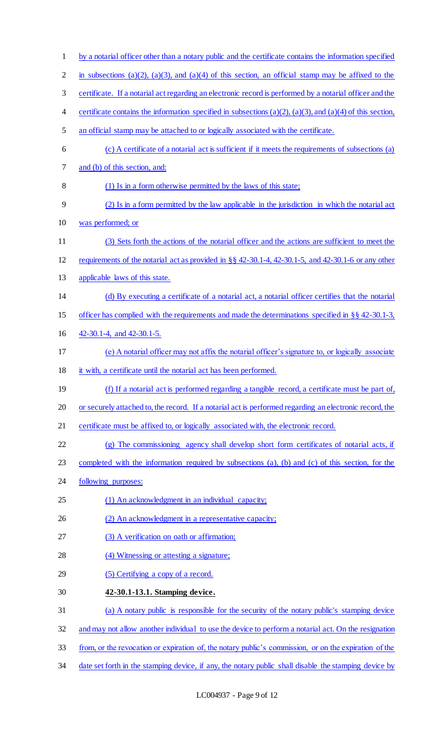| $\mathbf{1}$   | by a notarial officer other than a notary public and the certificate contains the information specified           |
|----------------|-------------------------------------------------------------------------------------------------------------------|
| $\overline{2}$ | in subsections (a)(2), (a)(3), and (a)(4) of this section, an official stamp may be affixed to the                |
| 3              | certificate. If a notarial act regarding an electronic record is performed by a notarial officer and the          |
| 4              | certificate contains the information specified in subsections $(a)(2)$ , $(a)(3)$ , and $(a)(4)$ of this section, |
| 5              | an official stamp may be attached to or logically associated with the certificate.                                |
| 6              | (c) A certificate of a notarial act is sufficient if it meets the requirements of subsections (a)                 |
| 7              | and (b) of this section, and:                                                                                     |
| 8              | (1) Is in a form otherwise permitted by the laws of this state;                                                   |
| 9              | (2) Is in a form permitted by the law applicable in the jurisdiction in which the notarial act                    |
| 10             | was performed; or                                                                                                 |
| 11             | (3) Sets forth the actions of the notarial officer and the actions are sufficient to meet the                     |
| 12             | requirements of the notarial act as provided in $\S$ $\S$ 42-30.1-4, 42-30.1-5, and 42-30.1-6 or any other        |
| 13             | applicable laws of this state.                                                                                    |
| 14             | (d) By executing a certificate of a notarial act, a notarial officer certifies that the notarial                  |
| 15             | officer has complied with the requirements and made the determinations specified in $\S$ $\S$ 42-30.1-3,          |
| 16             | 42-30.1-4, and 42-30.1-5.                                                                                         |
| 17             | (e) A notarial officer may not affix the notarial officer's signature to, or logically associate                  |
| 18             | it with, a certificate until the notarial act has been performed.                                                 |
| 19             | (f) If a notarial act is performed regarding a tangible record, a certificate must be part of,                    |
| 20             | or securely attached to, the record. If a notarial act is performed regarding an electronic record, the           |
| 21             | certificate must be affixed to, or logically associated with, the electronic record.                              |
| 22             | (g) The commissioning agency shall develop short form certificates of notarial acts, if                           |
| 23             | completed with the information required by subsections (a), (b) and (c) of this section, for the                  |
| 24             | following purposes:                                                                                               |
| 25             | (1) An acknowledgment in an individual capacity;                                                                  |
| 26             | (2) An acknowledgment in a representative capacity;                                                               |
| 27             | (3) A verification on oath or affirmation;                                                                        |
| 28             | (4) Witnessing or attesting a signature;                                                                          |
| 29             | (5) Certifying a copy of a record.                                                                                |
| 30             | 42-30.1-13.1. Stamping device.                                                                                    |
| 31             | (a) A notary public is responsible for the security of the notary public's stamping device                        |
| 32             | and may not allow another individual to use the device to perform a notarial act. On the resignation              |
| 33             | from, or the revocation or expiration of, the notary public's commission, or on the expiration of the             |
| 34             | date set forth in the stamping device, if any, the notary public shall disable the stamping device by             |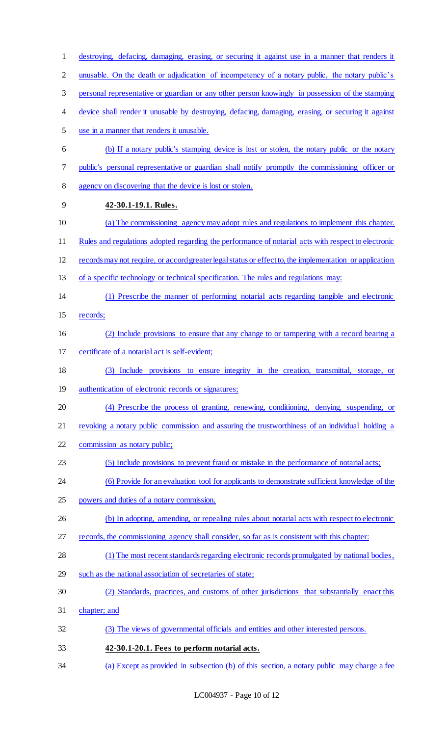destroying, defacing, damaging, erasing, or securing it against use in a manner that renders it 2 unusable. On the death or adjudication of incompetency of a notary public, the notary public's personal representative or guardian or any other person knowingly in possession of the stamping device shall render it unusable by destroying, defacing, damaging, erasing, or securing it against use in a manner that renders it unusable. (b) If a notary public's stamping device is lost or stolen, the notary public or the notary public's personal representative or guardian shall notify promptly the commissioning officer or agency on discovering that the device is lost or stolen. **42-30.1-19.1. Rules.** (a) The commissioning agency may adopt rules and regulations to implement this chapter. Rules and regulations adopted regarding the performance of notarial acts with respect to electronic records may not require, or accord greater legal status or effect to, the implementation or application of a specific technology or technical specification. The rules and regulations may: (1) Prescribe the manner of performing notarial acts regarding tangible and electronic records; (2) Include provisions to ensure that any change to or tampering with a record bearing a certificate of a notarial act is self-evident; (3) Include provisions to ensure integrity in the creation, transmittal, storage, or 19 authentication of electronic records or signatures; (4) Prescribe the process of granting, renewing, conditioning, denying, suspending, or 21 revoking a notary public commission and assuring the trustworthiness of an individual holding a commission as notary public; (5) Include provisions to prevent fraud or mistake in the performance of notarial acts; (6) Provide for an evaluation tool for applicants to demonstrate sufficient knowledge of the powers and duties of a notary commission. 26 (b) In adopting, amending, or repealing rules about notarial acts with respect to electronic records, the commissioning agency shall consider, so far as is consistent with this chapter: (1) The most recent standards regarding electronic records promulgated by national bodies, such as the national association of secretaries of state; (2) Standards, practices, and customs of other jurisdictions that substantially enact this chapter; and (3) The views of governmental officials and entities and other interested persons. **42-30.1-20.1. Fees to perform notarial acts.** (a) Except as provided in subsection (b) of this section, a notary public may charge a fee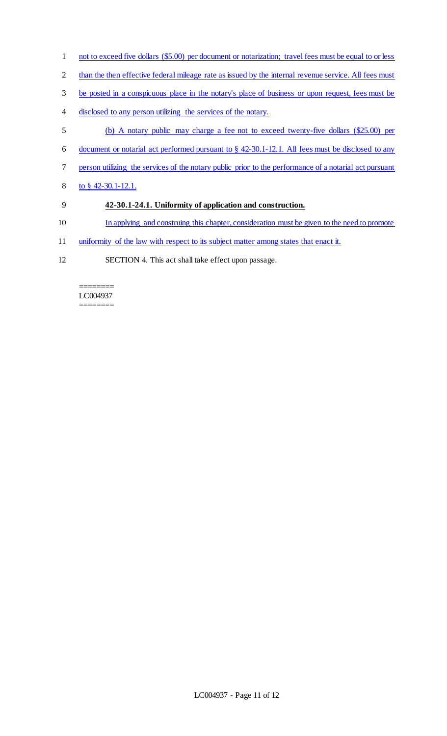- 1 not to exceed five dollars (\$5.00) per document or notarization; travel fees must be equal to or less
- 2 than the then effective federal mileage rate as issued by the internal revenue service. All fees must
- 3 be posted in a conspicuous place in the notary's place of business or upon request, fees must be
- 4 disclosed to any person utilizing the services of the notary.
- 5 (b) A notary public may charge a fee not to exceed twenty-five dollars (\$25.00) per
- 6 document or notarial act performed pursuant to § 42-30.1-12.1. All fees must be disclosed to any
- 7 person utilizing the services of the notary public prior to the performance of a notarial act pursuant
- 8 to § 42-30.1-12.1.
- 9 **42-30.1-24.1. Uniformity of application and construction.**
- 10 In applying and construing this chapter, consideration must be given to the need to promote
- 11 uniformity of the law with respect to its subject matter among states that enact it.
- 12 SECTION 4. This act shall take effect upon passage.

======== LC004937 ========